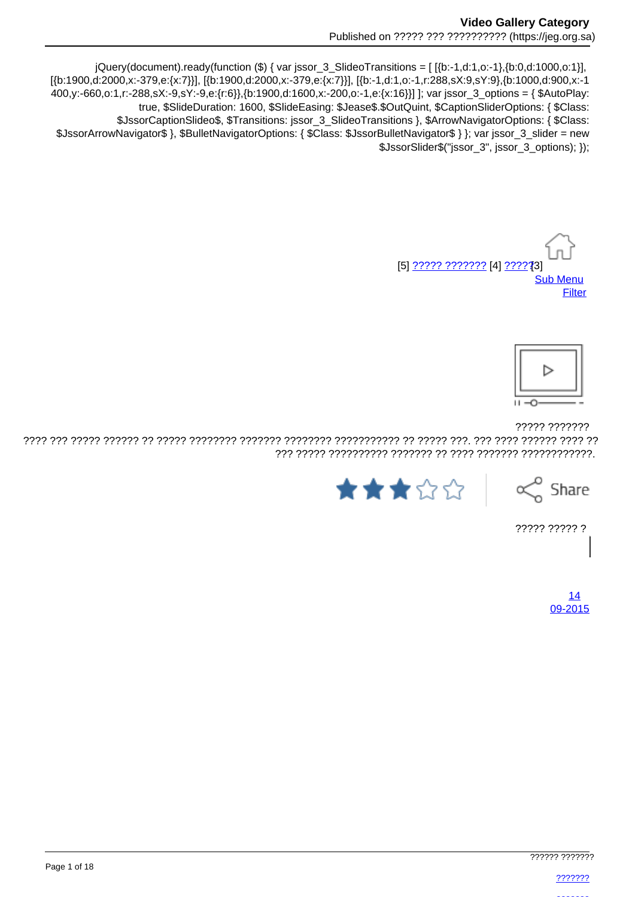jQuery(document).ready(function (\$) { var jssor\_3\_SlideoTransitions = [[{b:-1,d:1,o:-1},{b:0,d:1000,o:1}], [{b:1900,d:2000,x:-379,e:{x:7}}], [{b:1900,d:2000,x:-379,e:{x:7}}], [{b:-1,d:1,o:-1,r:288,sX:9,sY:9},{b:1000,d:900,x:-1 400,y:-660,o:1,r:-288,sX:-9,sY:-9,e:{r:6}},{b:1900,d:1600,x:-200,o:-1,e:{x:16}}] ]; var jssor\_3\_options = {\$AutoPlay: true, \$SlideDuration: 1600, \$SlideEasing: \$Jease\$.\$OutQuint, \$CaptionSliderOptions: { \$Class: \$JssorCaptionSlideo\$, \$Transitions: jssor\_3\_SlideoTransitions }, \$ArrowNavigatorOptions: { \$Class: \$JssorArrowNavigator\$ }, \$BulletNavigatorOptions: { \$Class: \$JssorBulletNavigator\$ } }; var jssor\_3\_slider = new \$JssorSlider\$("jssor 3", jssor 3 options); });

[5] 22222 2222222 [4] 222243] **Sub Menu** Filter



????? ???????

רר רררר ררכות ררכב הרכב ררך ררך ררכב רך הרכבורקרורר הרכבוררך רברכברך רכבורכב רכבור רך הרכבור הרכבר ררך רכב 



 $\propto$  Share

????? ????? ?

 $14$ 09-2015

777777 7777777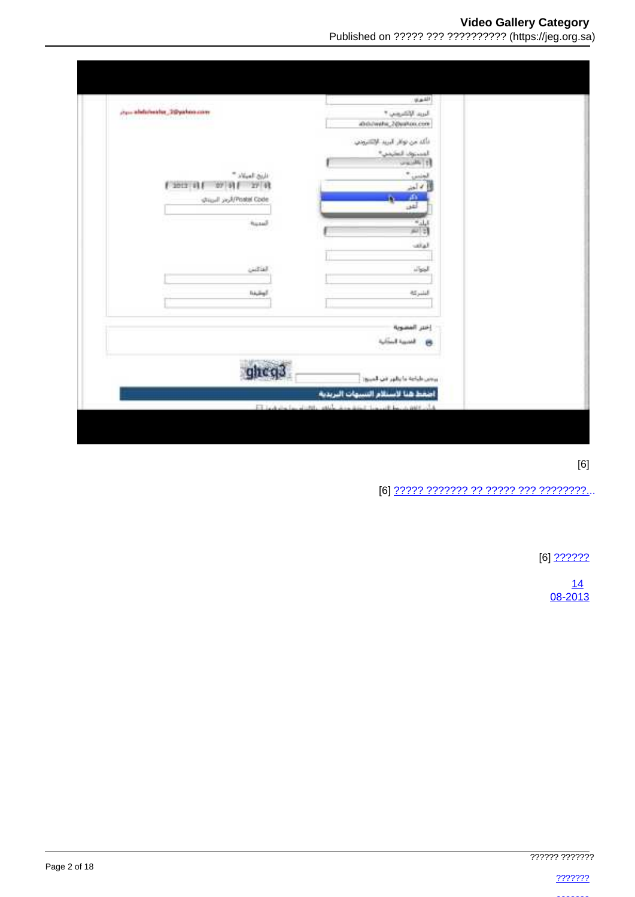## Video Gallery Category<br>Published on ????? ??? ??????????? (https://jeg.org.sa)

| ghcq3                                                                    | ورجين فأراجة فأجالهم في المبرون                 |  |
|--------------------------------------------------------------------------|-------------------------------------------------|--|
|                                                                          |                                                 |  |
|                                                                          | إخبر المصوية<br>what have B                     |  |
|                                                                          |                                                 |  |
| اوشخرا                                                                   | النتركة                                         |  |
| الفأكلين                                                                 | الجواد                                          |  |
|                                                                          | الهائف                                          |  |
|                                                                          | 論                                               |  |
| $\epsilon_{\rm quas}$                                                    | الفقد                                           |  |
| ships! pol/Postal Code                                                   | A                                               |  |
| " Next only<br>(1991) 1948<br>$277917 - 27793$                           | " unit)<br>الألمت                               |  |
|                                                                          | المنتوف الطبخية<br>$m = 1$                      |  |
|                                                                          | فأكدمن نوافر البريد الإثنترونب                  |  |
| reported al electronic and a state of the control<br><b>ICERTIFICATE</b> | <b>Tues Wilson, Y</b><br>abdulwahir_2@eahoo.com |  |
|                                                                          | الشهري                                          |  |

 $[6]$ 

[6] ????? ??????? ?? ????? ??? ?????????...

[6] ??????

 $\frac{14}{08 - 2013}$ 

777777 777777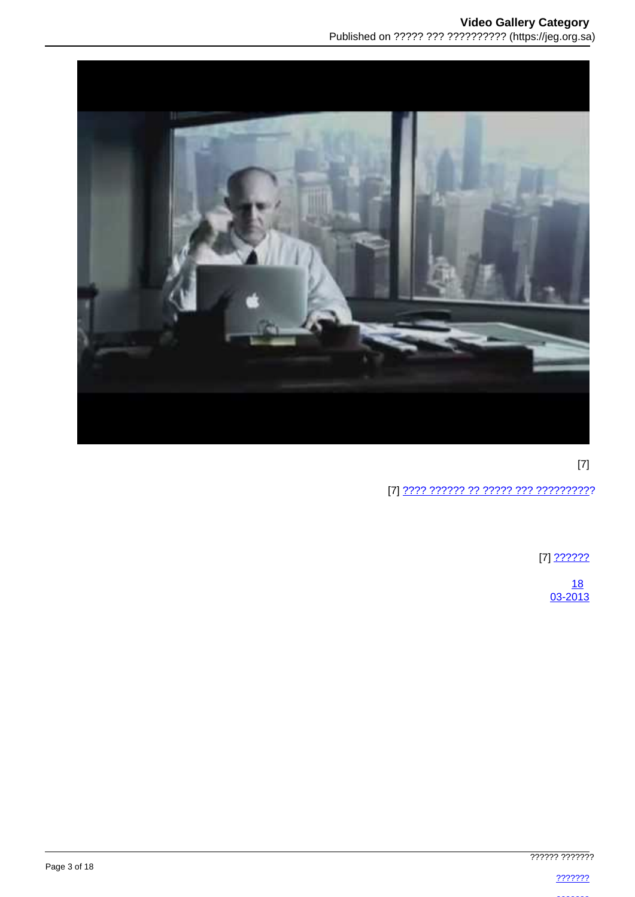

## $[7] \centering% \includegraphics[width=1.0\textwidth]{images/TrDiC-Architecture.png} \caption{The 3D (top) and the 4D (bottom) of the 3D (bottom) and the 4D (bottom) of the 3D (bottom) and the 4D (bottom) of the 3D (bottom). The 3D (bottom) is 3D (bottom).} \label{TrDiC-Architecture}$

<u>יִזְיִזְיִזְיִזְיֹן זִיִזְי דְּיִזְיֹן זִי דְּיִזְיִזְי זְיִזְי</u> [7]

 $[7]$  ??????

 $\frac{18}{03 - 2013}$ 

777777 777777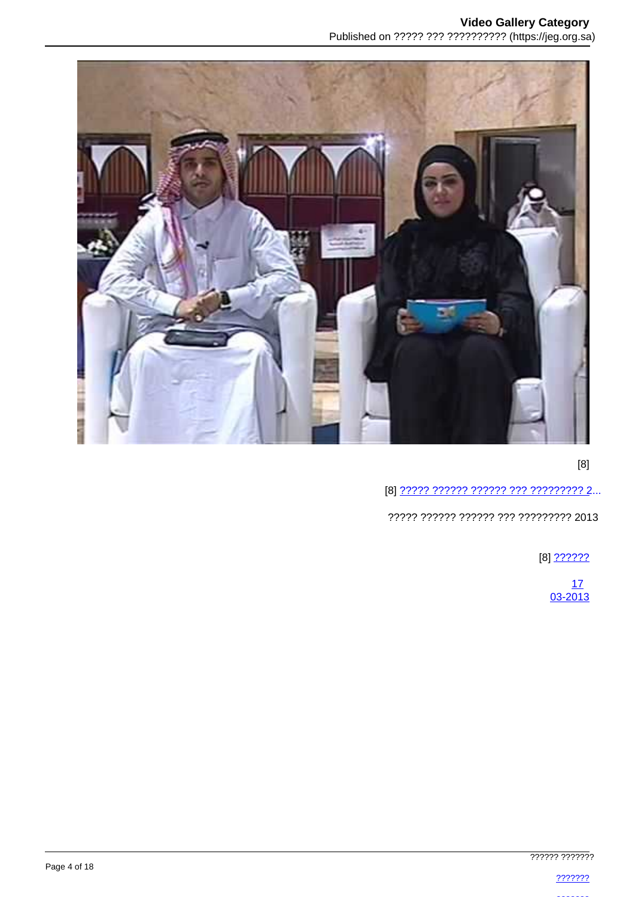

 $[8]$ 

[8] ????? ?????? ?????? ??? ?????????? 2... 77777 777777 777777 777 777777777 2013

[8] 222222

 $\frac{17}{03 - 2013}$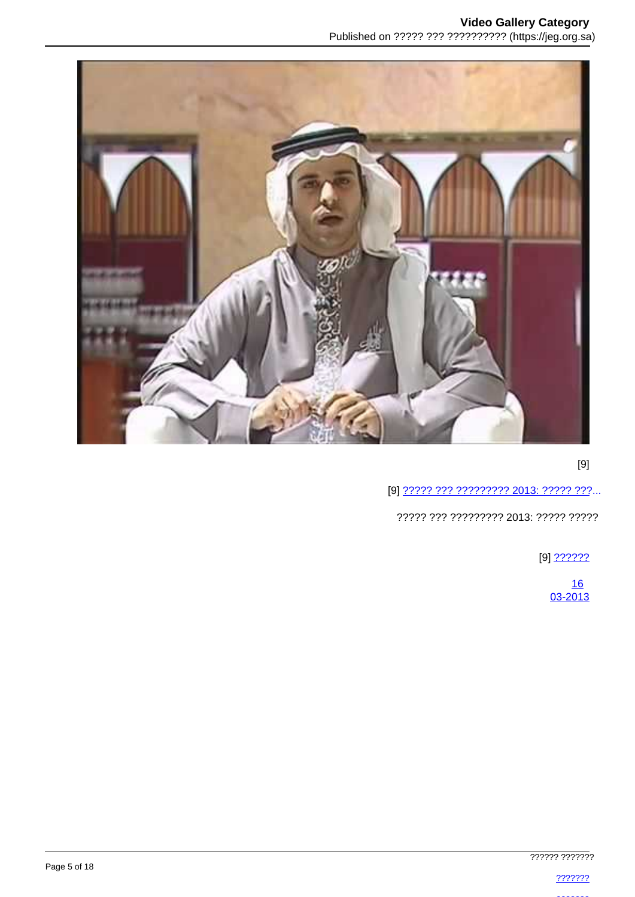

 $[9] % \begin{center} \includegraphics[width=\linewidth]{imagesSupplemental/Imers.png} \end{center} % \vspace*{-1em} \caption{The image shows the number of parameters of the estimators in the left and right.} \label{fig:limall}$ 

[9] ????? ??? ?????????? 2013: ????? ???... ????? ??? ????????? 2013: ????? ?????

[9] ??????

 $\frac{16}{03 - 2013}$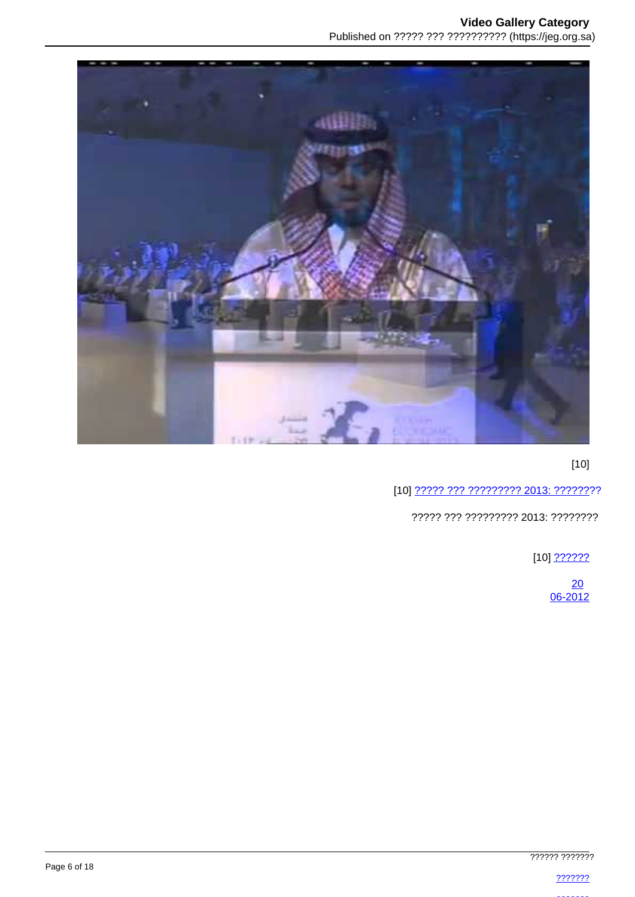

 $[10]$ 

[10] 22222 222 222222222 2013: 22222222 ????? ??? ????????? 2013: ????????

 $[10]$   $?$ ?????

 $\frac{20}{06 - 2012}$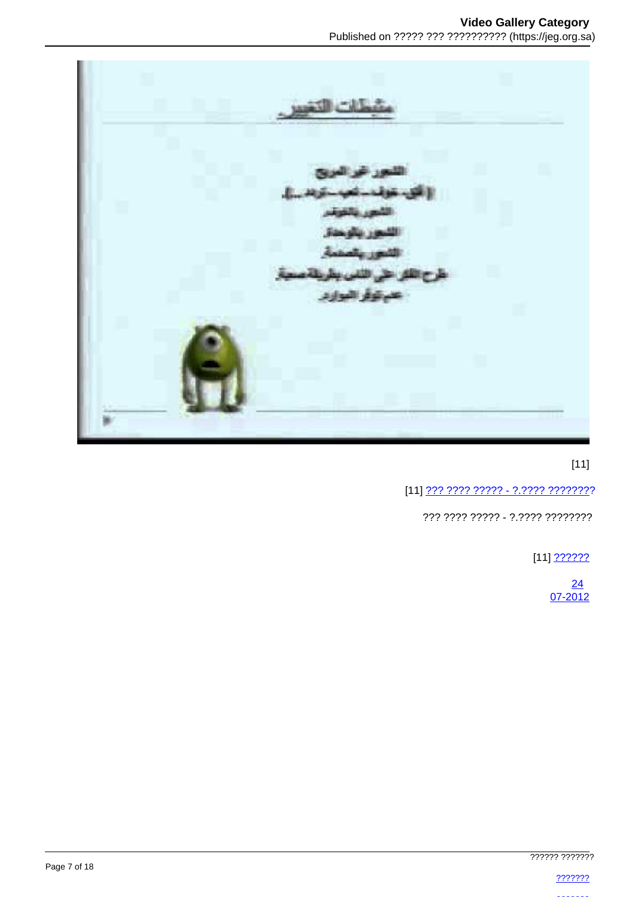$[11]$ 

[11] ??? ???? ????? - ?.???? ?????????

??? ???? ????? - ?.???? ????????

 $[11]$   $\overline{??\overline{??\overline ?}$ 

 $\frac{24}{07 - 2012}$ 

777777 777777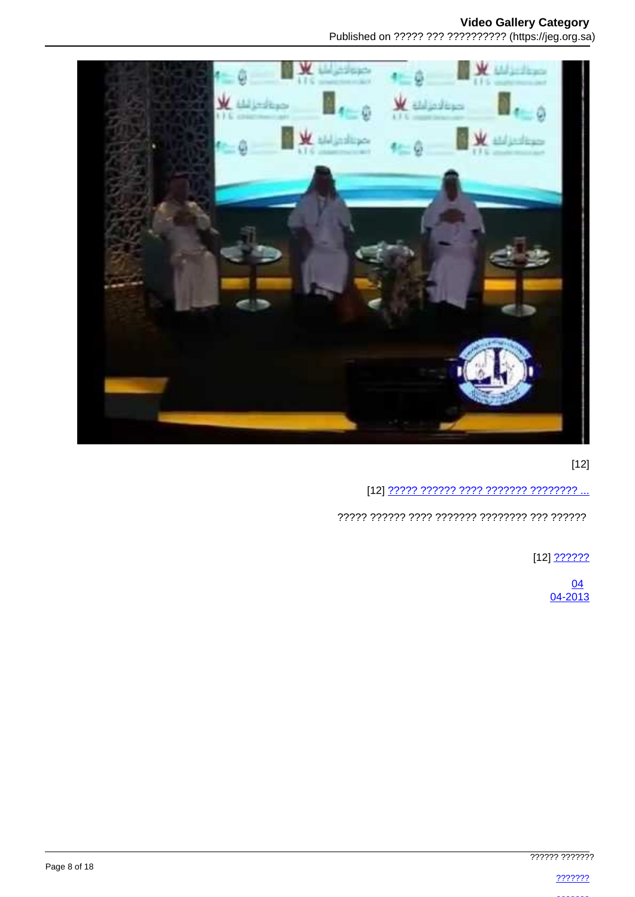



 $[12]$ 

[12] ????? ?????? ???? ??????? ????????? ...

 $[12]$   $??????$ 

04  $04 - 2013$ 

777777 777777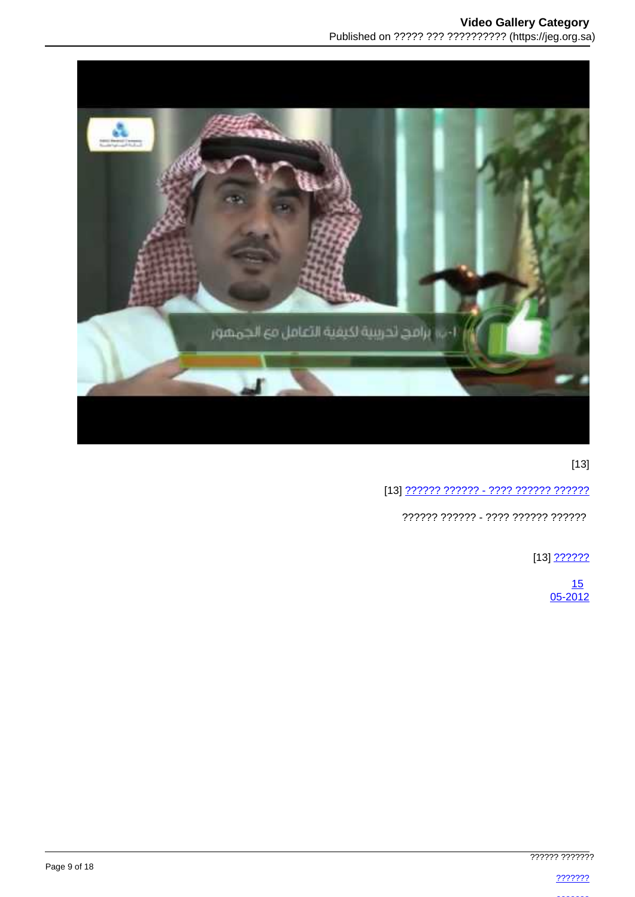

 $[13]$ 

[13] 222222 222222 - 2222 222222 222222 ?????? ?????? - ???? ?????? ??????

 $[13]$   $?$ ?????

 $\frac{15}{05 - 2012}$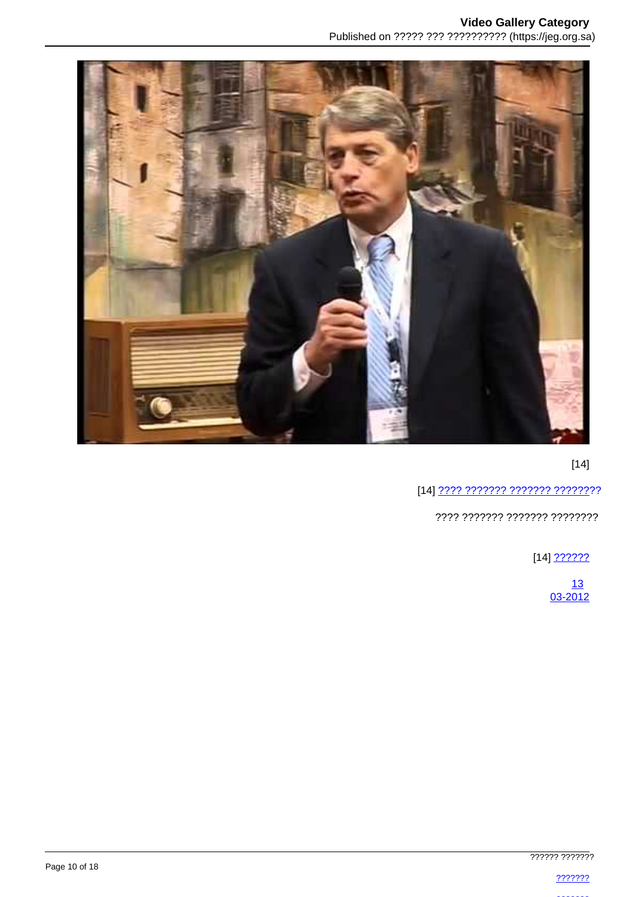

 $[14]$ 

[14] ???? ??????? ??????? ????????

???? ??????? ??????? ????????

 $[14]$   $??????$ 

 $\frac{13}{03 - 2012}$ 

777777 777777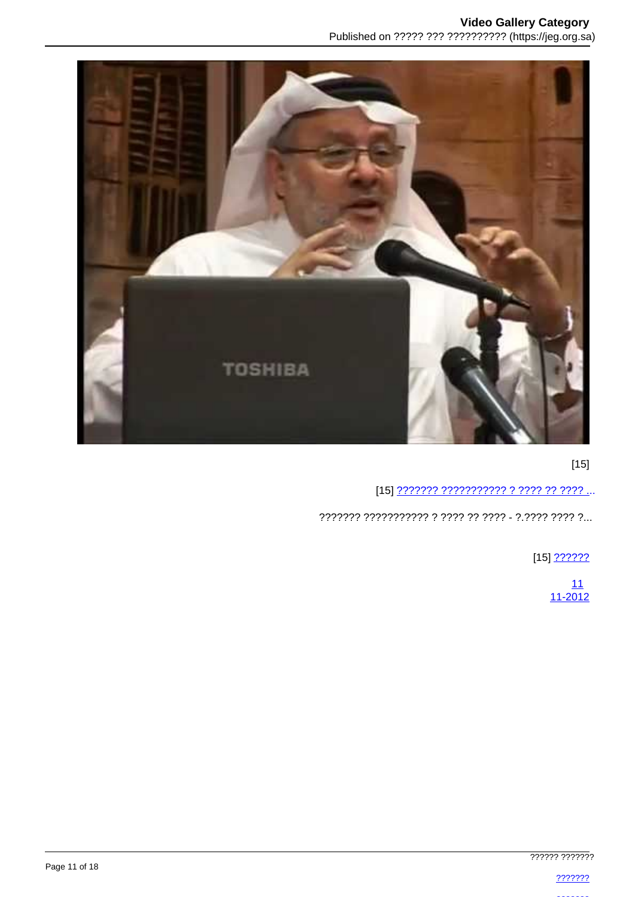

 $[15]$ 

[15] ??????? ??????????? ? ???? ?? ???? ...

777777 77777777777 7 7777 77 7777 - 7.7777 7777 7...

 $[15]$  ??????

 $\frac{11}{11-2012}$ 

777777 777777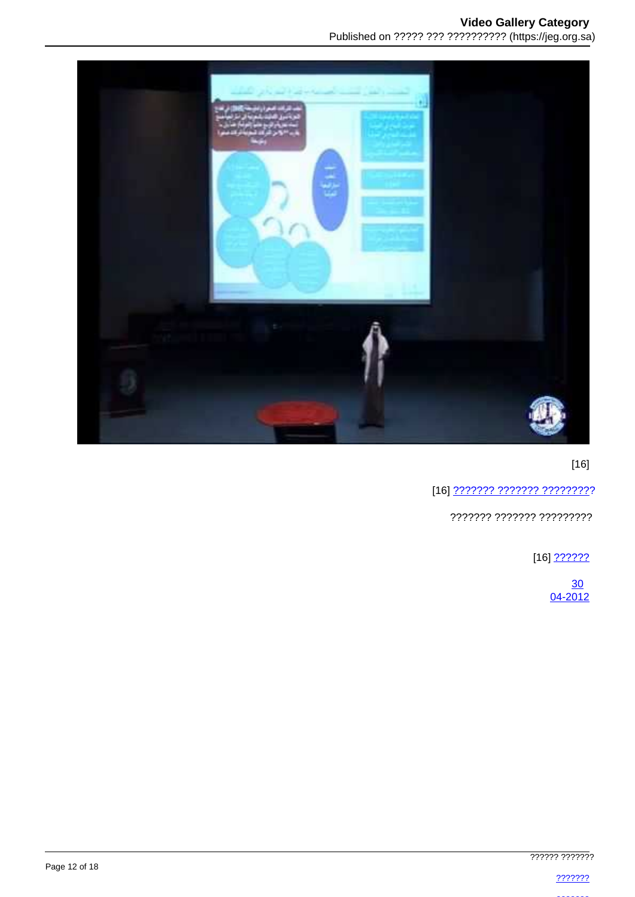

 $[16]$ 

[16] 2222222 2222222 222222222

??????? ??????? ?????????

[16] 222222

 $30$  $04 - 2012$ 

777777 777777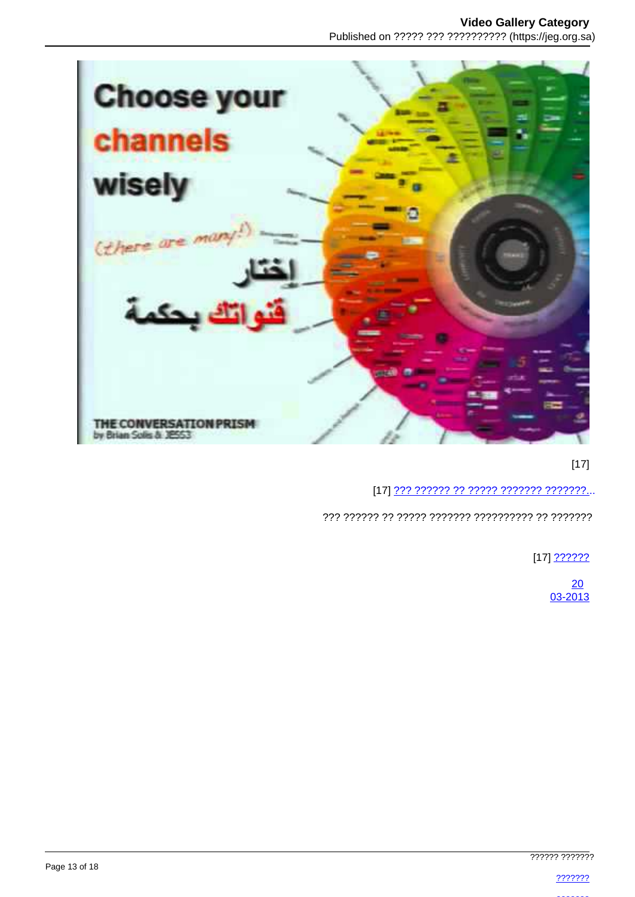

 $[17]$ 

[17] ??? ?????? ?? ????? ??????? ???????...

 $[17]$  ??????

 $20$ 03-2013

777777 777777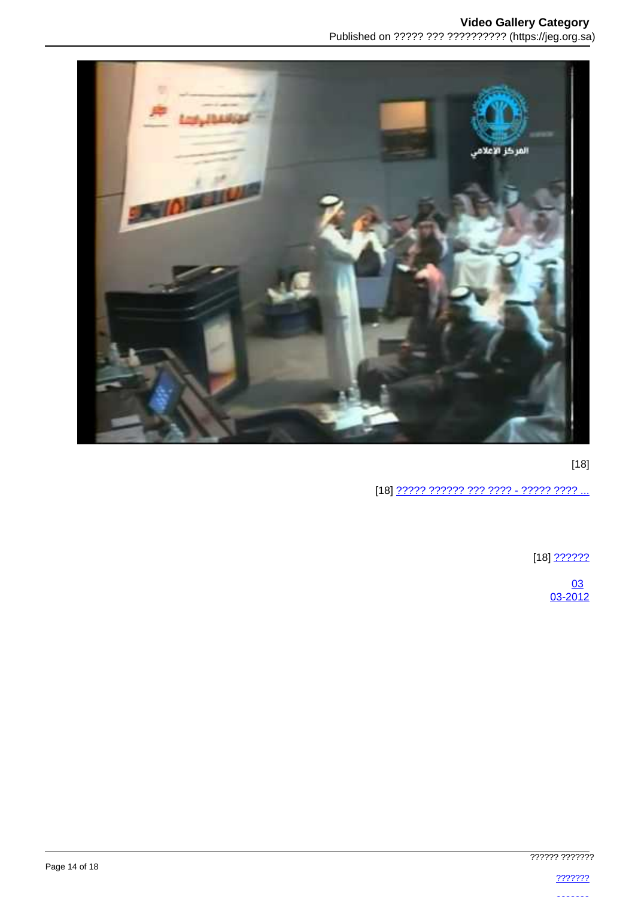

 $[18]$ 

[18] ????? ?????? ??? ???? - ????? ???? ...

 $[18]$   $??\frac{??\frac{??????}$ 

 $\frac{03}{03-2012}$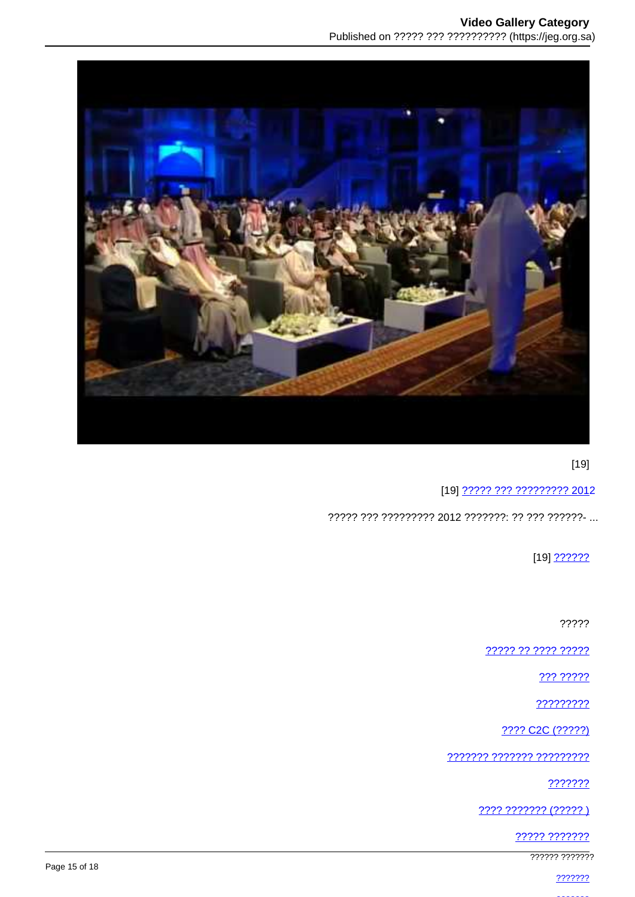

 $[19]$ 

[19] 22222 222 222222222 2012

77777 777 777777777 2012 7777777: 77 777 777777- ...

[19] 222222

?????

77777 77 7777 77777

222.22222

?????????

???? C2C (?????)

777777 7777777 777777777

???????

2222 2222222 (22222)

????? ???????

777777 777777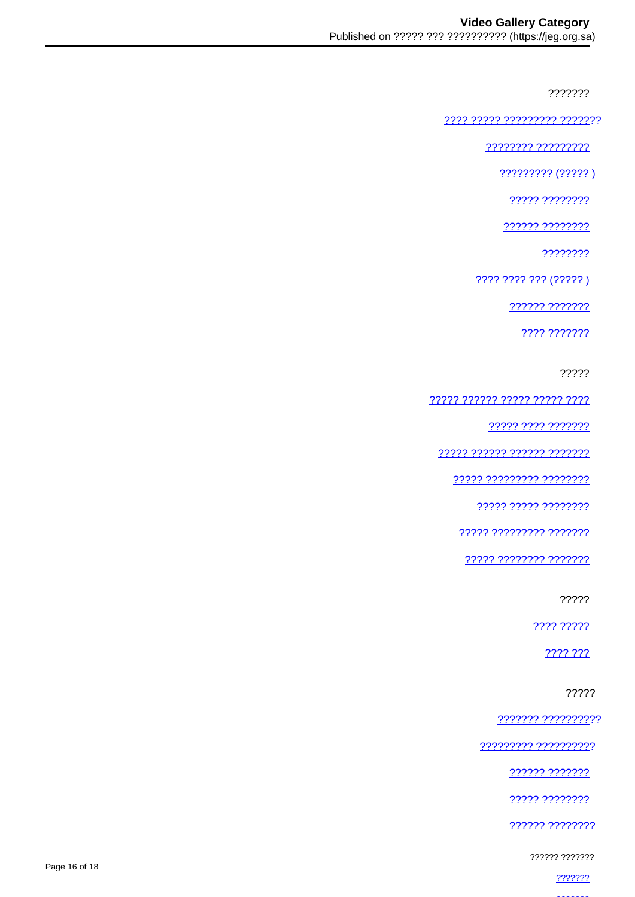???????

## <u> ???? ????? ????????? ???????</u>

<u>???????? ??????????</u>

????????? (?????)

????? ????????

?????? ????????

????????

???? ???? ??? (????? )

222222 2222222

2222 2222222

?????

<u> ????? ?????? ????? ????? ????</u>

????? ???? ???????

77777 777777 777777 7777777

77777 777777777 77777777

22222 22222 22222222

????? ????????? ???????

77777 77777777 7777777

?????

???? ?????

???? ???

?????

<u>??????? ??????????</u>

????????? ??????????

?????? ???????

????? ????????

?????? ????????

777777 7777777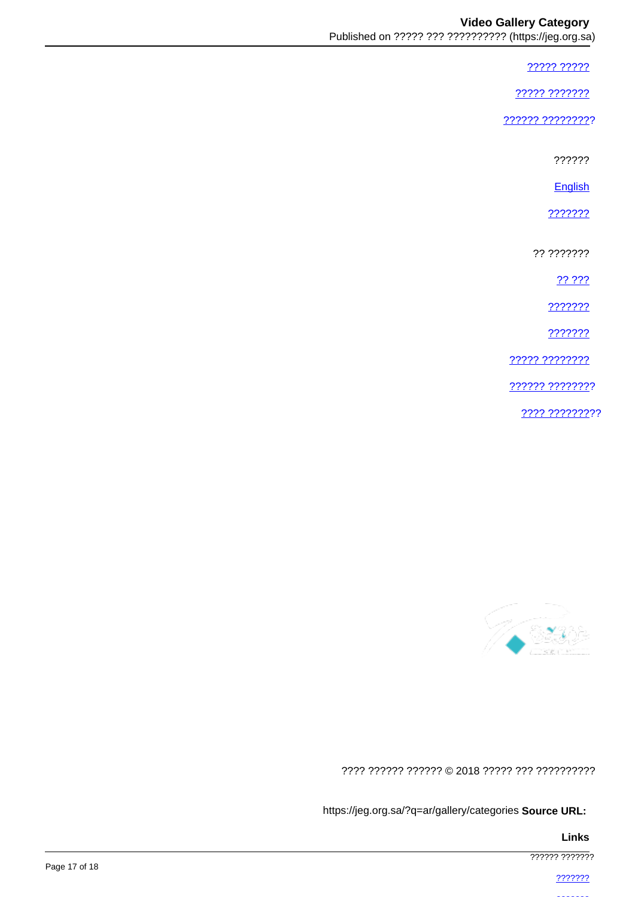????? ?????

22222 2222222

?????? ?????????

??????

English

???????

?? ???????

 $?? ???$ 

???????

???????

????? ????????

?????? ????????

<u> ???? ????????</u>??



???? ?????? ?????? © 2018 ????? ??? ??????????

https://jeg.org.sa/?q=ar/gallery/categories Source URL:

|               | <b>Links</b>   |
|---------------|----------------|
|               | ?????? ??????? |
| Page 17 of 18 | 2222222        |